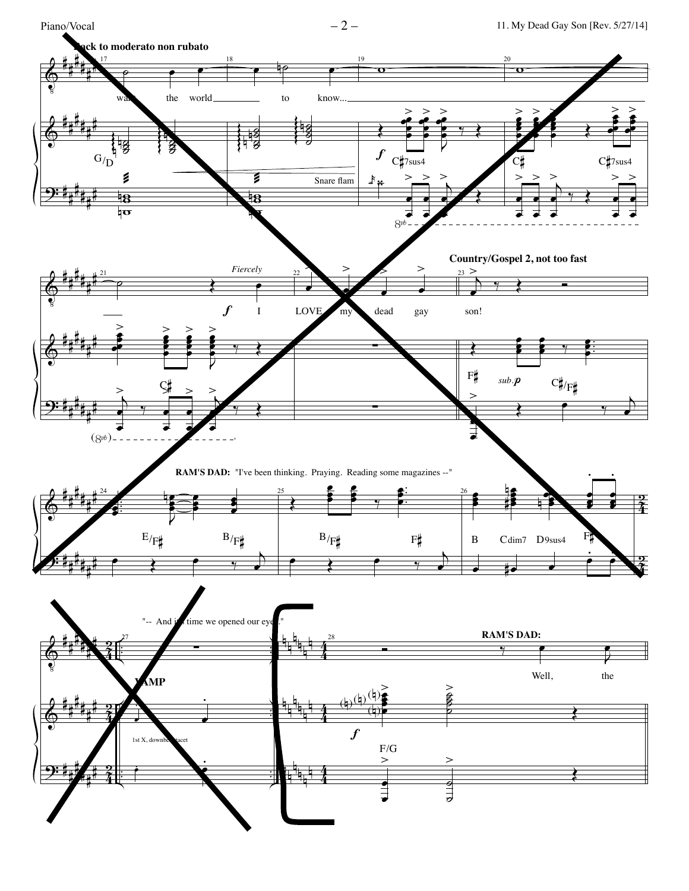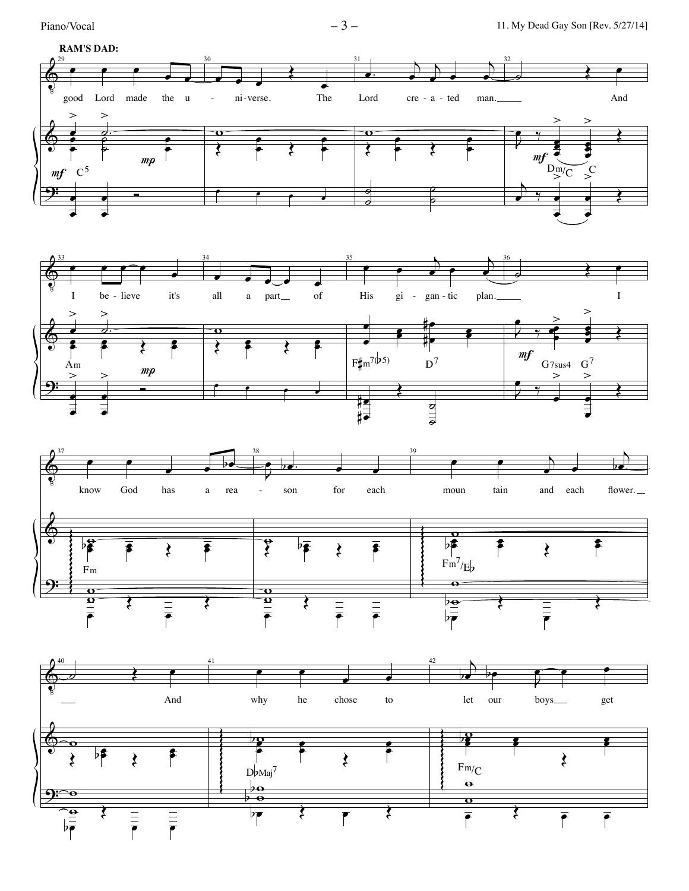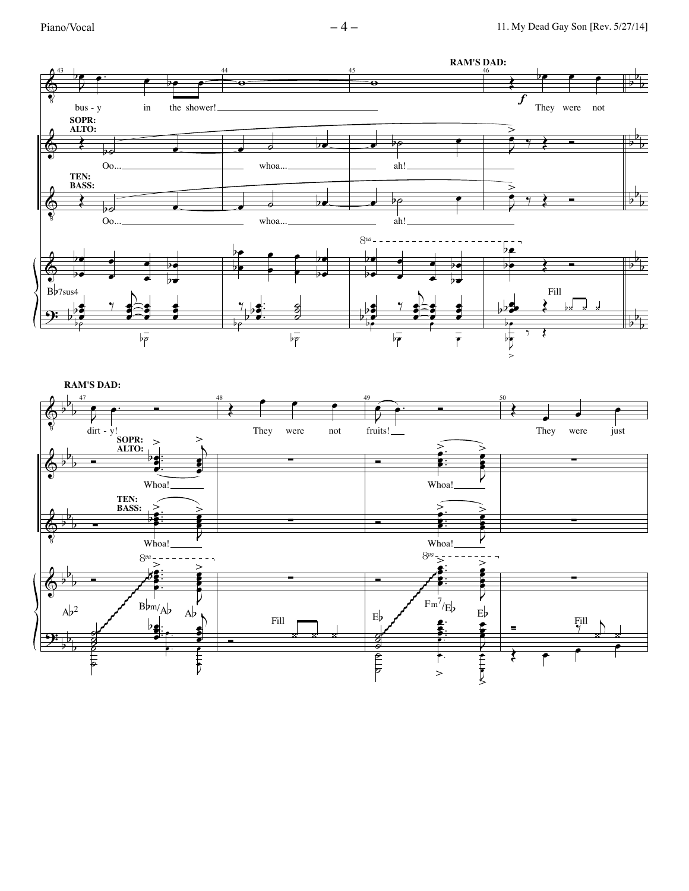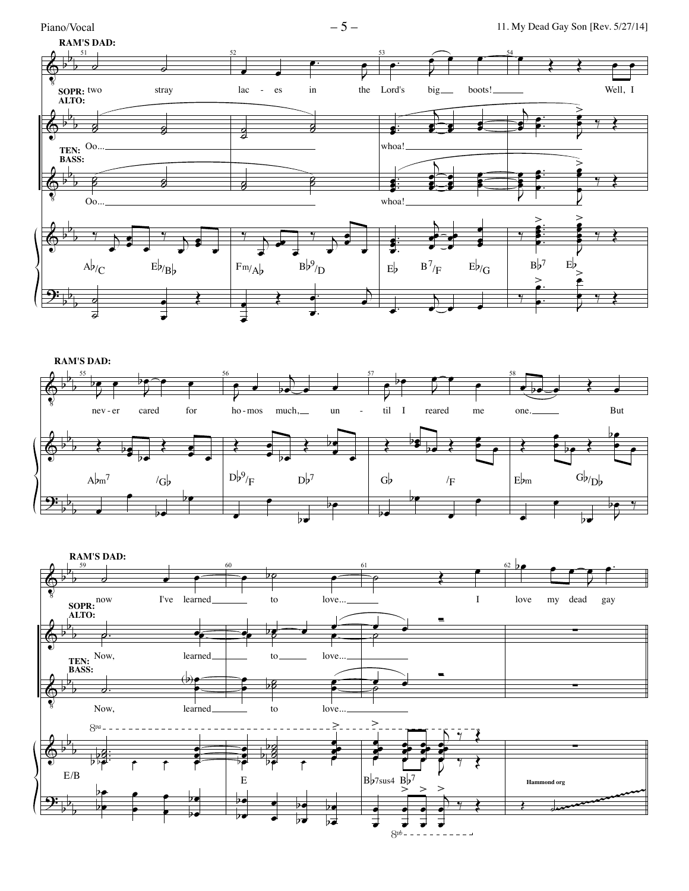